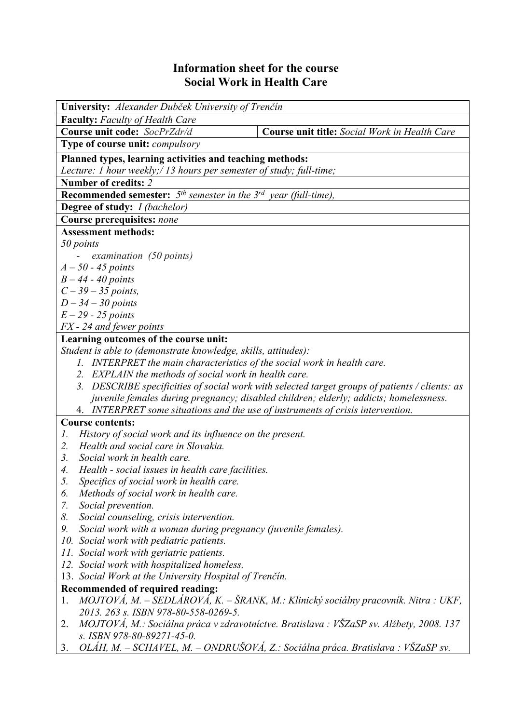## **Information sheet for the course Social Work in Health Care**

| University: Alexander Dubček University of Trenčín                                             |                                                                                         |  |  |  |  |
|------------------------------------------------------------------------------------------------|-----------------------------------------------------------------------------------------|--|--|--|--|
| <b>Faculty:</b> Faculty of Health Care<br>Course unit code: SocPrZdr/d                         | Course unit title: Social Work in Health Care                                           |  |  |  |  |
|                                                                                                |                                                                                         |  |  |  |  |
| <b>Type of course unit: <i>compulsory</i></b>                                                  |                                                                                         |  |  |  |  |
| Planned types, learning activities and teaching methods:                                       |                                                                                         |  |  |  |  |
| Lecture: 1 hour weekly;/ 13 hours per semester of study; full-time;                            |                                                                                         |  |  |  |  |
| Number of credits: 2                                                                           |                                                                                         |  |  |  |  |
| <b>Recommended semester:</b> $5^{th}$ semester in the $3^{rd}$ year (full-time),               |                                                                                         |  |  |  |  |
| Degree of study: <i>I (bachelor)</i>                                                           |                                                                                         |  |  |  |  |
| Course prerequisites: none                                                                     |                                                                                         |  |  |  |  |
| <b>Assessment methods:</b>                                                                     |                                                                                         |  |  |  |  |
| 50 points                                                                                      |                                                                                         |  |  |  |  |
| examination $(50$ points)                                                                      |                                                                                         |  |  |  |  |
| $A-50-45$ points                                                                               |                                                                                         |  |  |  |  |
| $B - 44 - 40$ points                                                                           |                                                                                         |  |  |  |  |
| $C - 39 - 35$ points,                                                                          |                                                                                         |  |  |  |  |
| $D-34-30$ points                                                                               |                                                                                         |  |  |  |  |
| $E-29$ - 25 points                                                                             |                                                                                         |  |  |  |  |
| FX - 24 and fewer points                                                                       |                                                                                         |  |  |  |  |
| Learning outcomes of the course unit:                                                          |                                                                                         |  |  |  |  |
| Student is able to (demonstrate knowledge, skills, attitudes):                                 |                                                                                         |  |  |  |  |
| 1. INTERPRET the main characteristics of the social work in health care.                       |                                                                                         |  |  |  |  |
| 2. EXPLAIN the methods of social work in health care.                                          |                                                                                         |  |  |  |  |
| 3. DESCRIBE specificities of social work with selected target groups of patients / clients: as |                                                                                         |  |  |  |  |
| juvenile females during pregnancy; disabled children; elderly; addicts; homelessness.          |                                                                                         |  |  |  |  |
| 4. INTERPRET some situations and the use of instruments of crisis intervention.                |                                                                                         |  |  |  |  |
| <b>Course contents:</b>                                                                        |                                                                                         |  |  |  |  |
| History of social work and its influence on the present.<br>Ι.                                 |                                                                                         |  |  |  |  |
| Health and social care in Slovakia.<br>2.                                                      |                                                                                         |  |  |  |  |
| Social work in health care.<br>3.                                                              |                                                                                         |  |  |  |  |
| Health - social issues in health care facilities.<br>4.                                        |                                                                                         |  |  |  |  |
| 5.<br>Specifics of social work in health care.                                                 |                                                                                         |  |  |  |  |
| Methods of social work in health care.<br>6.                                                   |                                                                                         |  |  |  |  |
| Social prevention.<br>7.                                                                       |                                                                                         |  |  |  |  |
| Social counseling, crisis intervention.<br>8.                                                  |                                                                                         |  |  |  |  |
| Social work with a woman during pregnancy (juvenile females).<br>9.                            |                                                                                         |  |  |  |  |
| 10. Social work with pediatric patients.                                                       |                                                                                         |  |  |  |  |
| 11. Social work with geriatric patients.                                                       |                                                                                         |  |  |  |  |
| 12. Social work with hospitalized homeless.                                                    |                                                                                         |  |  |  |  |
| 13. Social Work at the University Hospital of Trenčín.                                         |                                                                                         |  |  |  |  |
| <b>Recommended of required reading:</b>                                                        |                                                                                         |  |  |  |  |
| 1.                                                                                             | MOJTOVÁ, M. – SEDLÁROVÁ, K. – ŠRANK, M.: Klinický sociálny pracovník. Nitra : UKF,      |  |  |  |  |
| 2013. 263 s. ISBN 978-80-558-0269-5.                                                           |                                                                                         |  |  |  |  |
| 2.                                                                                             | MOJTOVÁ, M.: Sociálna práca v zdravotníctve. Bratislava : VŠZaSP sv. Alžbety, 2008. 137 |  |  |  |  |
| s. ISBN 978-80-89271-45-0.                                                                     |                                                                                         |  |  |  |  |

3. *OLÁH, M. – SCHAVEL, M. – ONDRUŠOVÁ, Z.: Sociálna práca. Bratislava : VŠZaSP sv.*